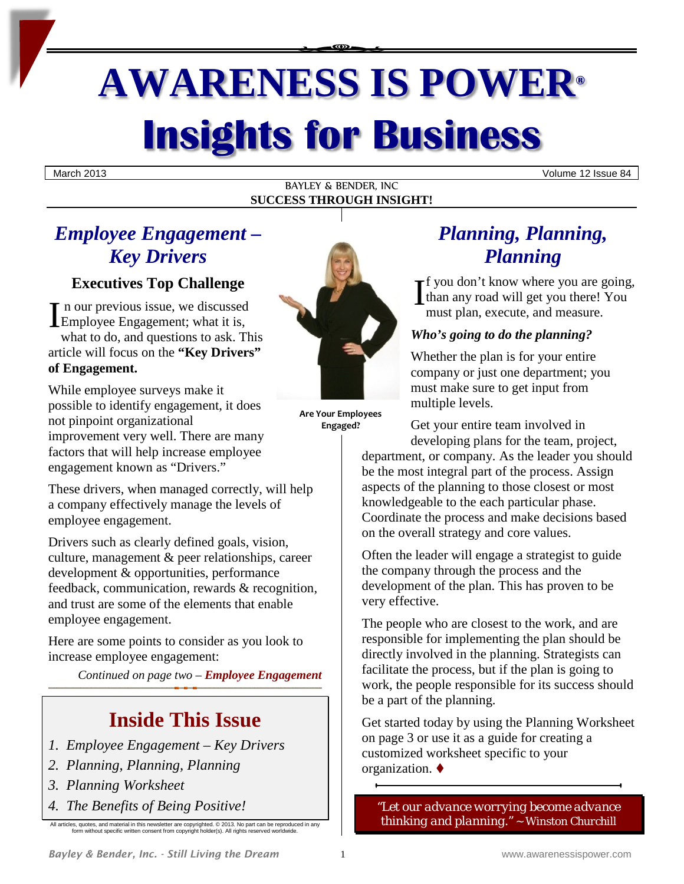# **AWARENESS IS POWER® Insights for Business**

March 2013 Volume 12 Issue 84

#### BAYLEY & BENDER, INC **SUCCESS THROUGH INSIGHT!**

# *Employee Engagement – Key Drivers*

# **Executives Top Challenge**

n our previous issue, we discussed Executives Top Challenge<br>
In our previous issue, we discussed<br>
Employee Engagement; what it is, what to do, and questions to ask. This article will focus on the **"Key Drivers" of Engagement.**

While employee surveys make it possible to identify engagement, it does not pinpoint organizational improvement very well. There are many factors that will help increase employee engagement known as "Drivers."

These drivers, when managed correctly, will help a company effectively manage the levels of employee engagement.

Drivers such as clearly defined goals, vision, culture, management & peer relationships, career development & opportunities, performance feedback, communication, rewards & recognition, and trust are some of the elements that enable employee engagement.

Here are some points to consider as you look to increase employee engagement:

*Continued on page two – Employee Engagement*

# **Inside This Issue**

- *1. Employee Engagement – Key Drivers*
- *2. Planning, Planning, Planning*
- *3. Planning Worksheet*
- *4. The Benefits of Being Positive!*

All articles, quotes, and material in this newsletter are copyrighted. © 2013. No part can be reproduced in any form without specific written consent from copyright holder(s). All rights reserved worldwide.



**Are Your Employees Engaged?**

# *Planning, Planning, Planning*

**f** you don't know where you are going, than any road will get you there! You must plan, execute, and measure.

## *Who's going to do the planning?*

Whether the plan is for your entire company or just one department; you must make sure to get input from multiple levels.

Get your entire team involved in developing plans for the team, project,

department, or company. As the leader you should be the most integral part of the process. Assign aspects of the planning to those closest or most knowledgeable to the each particular phase. Coordinate the process and make decisions based on the overall strategy and core values.

Often the leader will engage a strategist to guide the company through the process and the development of the plan. This has proven to be very effective.

The people who are closest to the work, and are responsible for implementing the plan should be directly involved in the planning. Strategists can facilitate the process, but if the plan is going to work, the people responsible for its success should be a part of the planning.

Get started today by using the Planning Worksheet on page 3 or use it as a guide for creating a customized worksheet specific to your organization.

*["Let our advance worrying become advance](http://www.brainyquote.com/quotes/quotes/w/winstonchu156920.html)  [thinking and planning."](http://www.brainyquote.com/quotes/quotes/w/winstonchu156920.html) ~ Winston Churchill*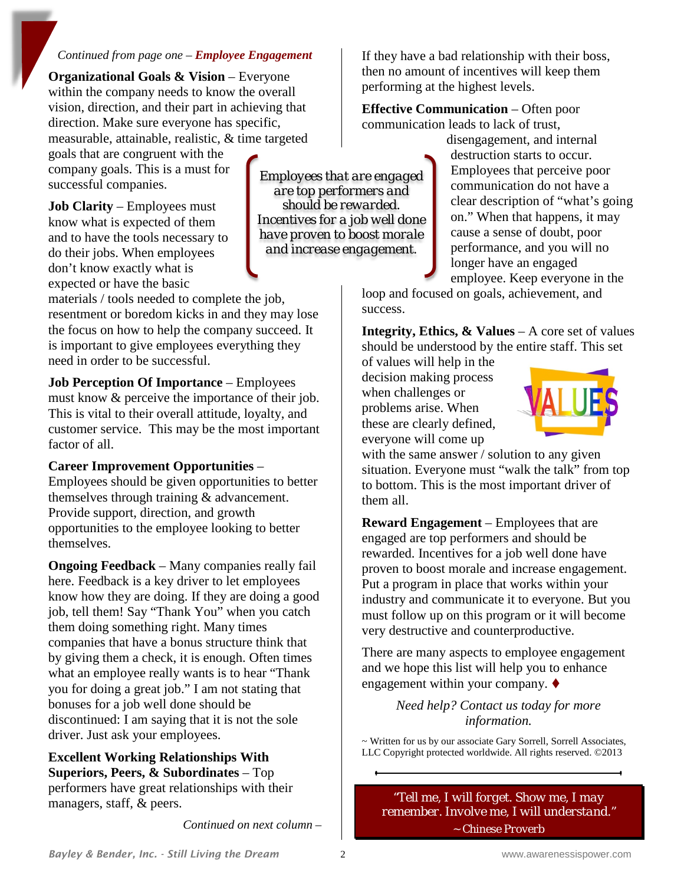#### *Continued from page one – Employee Engagement*

**Organizational Goals & Vision** – Everyone within the company needs to know the overall vision, direction, and their part in achieving that direction. Make sure everyone has specific, measurable, attainable, realistic, & time targeted

goals that are congruent with the company goals. This is a must for successful companies.

**Job Clarity** – Employees must know what is expected of them and to have the tools necessary to do their jobs. When employees don't know exactly what is expected or have the basic

materials / tools needed to complete the job, resentment or boredom kicks in and they may lose the focus on how to help the company succeed. It is important to give employees everything they need in order to be successful.

**Job Perception Of Importance** – Employees must know & perceive the importance of their job. This is vital to their overall attitude, loyalty, and customer service. This may be the most important factor of all.

#### **Career Improvement Opportunities** –

Employees should be given opportunities to better themselves through training & advancement. Provide support, direction, and growth opportunities to the employee looking to better themselves.

**Ongoing Feedback** – Many companies really fail here. Feedback is a key driver to let employees know how they are doing. If they are doing a good job, tell them! Say "Thank You" when you catch them doing something right. Many times companies that have a bonus structure think that by giving them a check, it is enough. Often times what an employee really wants is to hear "Thank you for doing a great job." I am not stating that bonuses for a job well done should be discontinued: I am saying that it is not the sole driver. Just ask your employees.

**Excellent Working Relationships With Superiors, Peers, & Subordinates** – Top performers have great relationships with their managers, staff, & peers.

*Continued on next column –*

If they have a bad relationship with their boss, then no amount of incentives will keep them performing at the highest levels.

**Effective Communication** – Often poor communication leads to lack of trust,

> disengagement, and internal destruction starts to occur. Employees that perceive poor communication do not have a clear description of "what's going on." When that happens, it may cause a sense of doubt, poor performance, and you will no longer have an engaged employee. Keep everyone in the

loop and focused on goals, achievement, and success.

**Integrity, Ethics, & Values** – A core set of values should be understood by the entire staff. This set

of values will help in the decision making process when challenges or problems arise. When these are clearly defined, everyone will come up

*Employees that are engaged are top performers and should be rewarded. Incentives for a job well done have proven to boost morale and increase engagement.*



with the same answer / solution to any given situation. Everyone must "walk the talk" from top to bottom. This is the most important driver of them all.

**Reward Engagement** – Employees that are engaged are top performers and should be rewarded. Incentives for a job well done have proven to boost morale and increase engagement. Put a program in place that works within your industry and communicate it to everyone. But you must follow up on this program or it will become very destructive and counterproductive.

There are many aspects to employee engagement and we hope this list will help you to enhance engagement within your company.

> *Need help? Contact us today for more information.*

~ Written for us by our associate Gary Sorrell, Sorrell Associates, LLC Copyright protected worldwide. All rights reserved. ©2013

*"Tell me, I will forget. Show me, I may remember. Involve me, I will understand." ~ Chinese Proverb*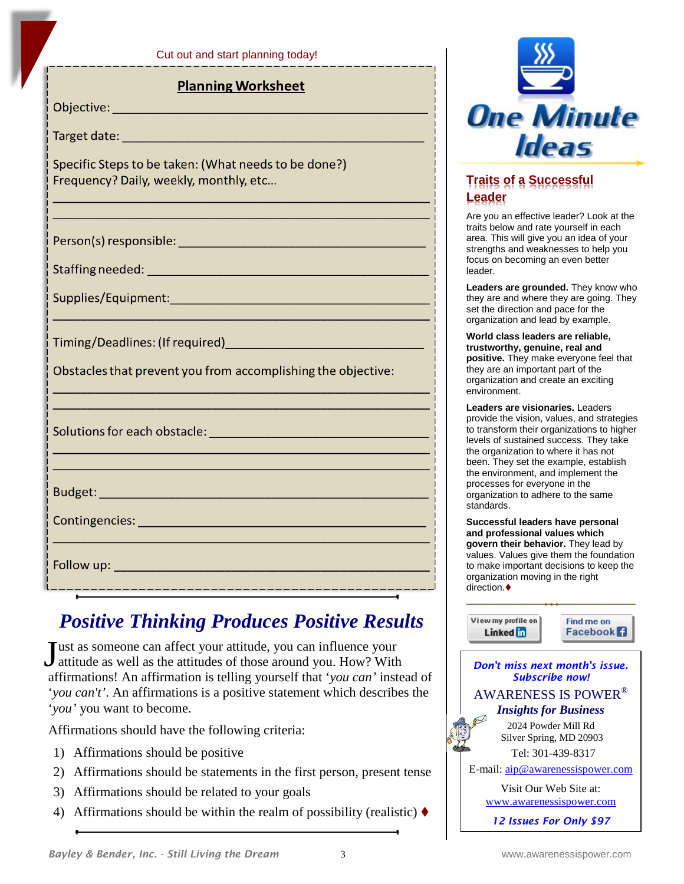|  | Cut out and start planning today! |  |  |  |
|--|-----------------------------------|--|--|--|
|  |                                   |  |  |  |

### **Planning Worksheet**

Objective:

Target date: National Contract of the Contract of the Contract of the Contract of the Contract of the Contract of the Contract of the Contract of the Contract of the Contract of the Contract of the Contract of the Contract

Specific Steps to be taken: (What needs to be done?) Frequency? Daily, weekly, monthly, etc...

Timing/Deadlines: (If required) [19] Timing/Deadlines: (If required)

Obstacles that prevent you from accomplishing the objective:

Solutions for each obstacle: Notified a manufacturer of the state of the state of the state of the state of the

**Follow up:** The contract of the contract of the contract of the contract of the contract of the contract of the

# *Positive Thinking Produces Positive Results*

\_\_\_\_\_\_\_\_\_\_\_\_\_\_\_\_\_\_\_\_\_\_\_\_\_\_\_\_\_\_\_\_\_\_\_\_

**Tust as someone can affect your attitude, you can influence your** Just as someone can affect your attitude, you can influence your<br>attitude as well as the attitudes of those around you. How? With affirmations! An affirmation is telling yourself that '*you can'* instead of '*you can't'*. An affirmations is a positive statement which describes the '*you'* you want to become.

Affirmations should have the following criteria:

- 1) Affirmations should be positive
- 2) Affirmations should be statements in the first person, present tense
- 3) Affirmations should be related to your goals
- 4) Affirmations should be within the realm of possibility (realistic)  $\blacklozenge$



## **Traits of a Successful Leader**

Are you an effective leader? Look at the traits below and rate yourself in each area. This will give you an idea of your strengths and weaknesses to help you focus on becoming an even better leader.

**Leaders are grounded.** They know who they are and where they are going. They set the direction and pace for the organization and lead by example.

**World class leaders are reliable, trustworthy, genuine, real and positive.** They make everyone feel that they are an important part of the organization and create an exciting environment.

**Leaders are visionaries.** Leaders provide the vision, values, and strategies to transform their organizations to higher levels of sustained success. They take the organization to where it has not been. They set the example, establish the environment, and implement the processes for everyone in the organization to adhere to the same standards.

**Successful leaders have personal and professional values which govern their behavior.** They lead by values. Values give them the foundation to make important decisions to keep the organization moving in the right direction.  $\blacklozenge$